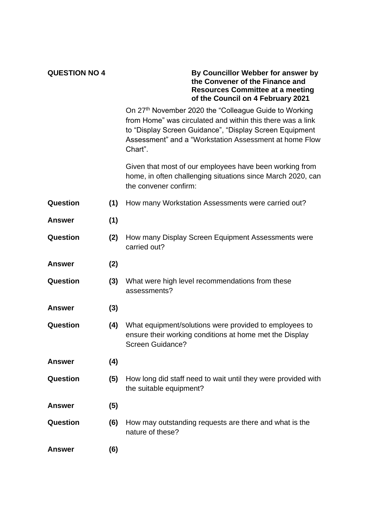| <b>QUESTION NO 4</b> |     | By Councillor Webber for answer by<br>the Convener of the Finance and<br><b>Resources Committee at a meeting</b><br>of the Council on 4 February 2021                                                                                               |
|----------------------|-----|-----------------------------------------------------------------------------------------------------------------------------------------------------------------------------------------------------------------------------------------------------|
|                      |     | On 27th November 2020 the "Colleague Guide to Working<br>from Home" was circulated and within this there was a link<br>to "Display Screen Guidance", "Display Screen Equipment<br>Assessment" and a "Workstation Assessment at home Flow<br>Chart". |
|                      |     | Given that most of our employees have been working from<br>home, in often challenging situations since March 2020, can<br>the convener confirm:                                                                                                     |
| Question             | (1) | How many Workstation Assessments were carried out?                                                                                                                                                                                                  |
| <b>Answer</b>        | (1) |                                                                                                                                                                                                                                                     |
| Question             | (2) | How many Display Screen Equipment Assessments were<br>carried out?                                                                                                                                                                                  |
| <b>Answer</b>        | (2) |                                                                                                                                                                                                                                                     |
| Question             | (3) | What were high level recommendations from these<br>assessments?                                                                                                                                                                                     |
| <b>Answer</b>        | (3) |                                                                                                                                                                                                                                                     |
| Question             | (4) | What equipment/solutions were provided to employees to<br>ensure their working conditions at home met the Display<br><b>Screen Guidance?</b>                                                                                                        |
| <b>Answer</b>        | (4) |                                                                                                                                                                                                                                                     |
| Question             | (5) | How long did staff need to wait until they were provided with<br>the suitable equipment?                                                                                                                                                            |
| <b>Answer</b>        | (5) |                                                                                                                                                                                                                                                     |
| Question             | (6) | How may outstanding requests are there and what is the<br>nature of these?                                                                                                                                                                          |
| <b>Answer</b>        | (6) |                                                                                                                                                                                                                                                     |